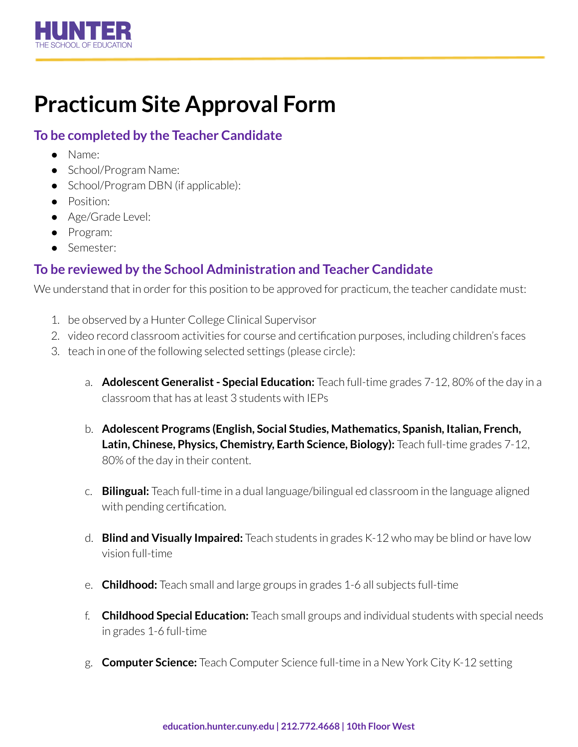

## **Practicum Site Approval Form**

## **To be completed by the Teacher Candidate**

- Name:
- School/Program Name:
- School/Program DBN (if applicable):
- Position:
- Age/Grade Level:
- Program:
- Semester:

## **To be reviewed by the School Administration and Teacher Candidate**

We understand that in order for this position to be approved for practicum, the teacher candidate must:

- 1. be observed by a Hunter College Clinical Supervisor
- 2. video record classroom activities for course and certification purposes, including children's faces
- 3. teach in one of the following selected settings (please circle):
	- a. **Adolescent Generalist- Special Education:** Teach full-time grades 7-12, 80% of the day in a classroom that has at least 3 students with IEPs
	- b. **Adolescent Programs (English, Social Studies, Mathematics, Spanish, Italian, French, Latin, Chinese, Physics, Chemistry, Earth Science, Biology):** Teach full-time grades 7-12, 80% of the day in their content.
	- c. **Bilingual:** Teach full-time in a dual language/bilingual ed classroom in the language aligned with pending certification.
	- d. **Blind and Visually Impaired:** Teach students in grades K-12 who may be blind or have low vision full-time
	- e. **Childhood:** Teach small and large groups in grades 1-6 all subjects full-time
	- f. **Childhood Special Education:** Teach small groups and individual students with special needs in grades 1-6 full-time
	- g. **Computer Science:** Teach Computer Science full-time in a New York City K-12 setting